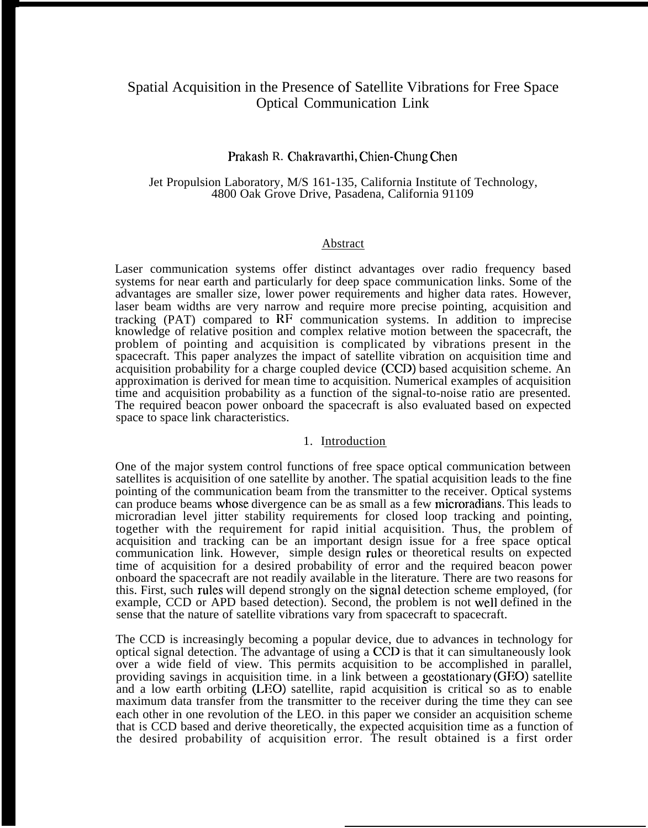# Spatial Acquisition in the Presence of Satellite Vibrations for Free Space Optical Communication Link

## Prakash R. Chakravarthi, Chien-Chung Chen

#### Jet Propulsion Laboratory, M/S 161-135, California Institute of Technology, 4800 Oak Grove Drive, Pasadena, California 91109

#### Abstract

Laser communication systems offer distinct advantages over radio frequency based systems for near earth and particularly for deep space communication links. Some of the advantages are smaller size, lower power requirements and higher data rates. However, laser beam widths are very narrow and require more precise pointing, acquisition and tracking (PAT) compared to RF communication systems. In addition to imprecise knowledge of relative position and complex relative motion between the spacecraft, the problem of pointing and acquisition is complicated by vibrations present in the spacecraft. This paper analyzes the impact of satellite vibration on acquisition time and acquisition probability for a charge coupled device (CCD) based acquisition scheme. An approximation is derived for mean time to acquisition. Numerical examples of acquisition time and acquisition probability as a function of the signal-to-noise ratio are presented. The required beacon power onboard the spacecraft is also evaluated based on expected space to space link characteristics.

### 1. Introduction

One of the major system control functions of free space optical communication between satellites is acquisition of one satellite by another. The spatial acquisition leads to the fine pointing of the communication beam from the transmitter to the receiver. Optical systems can produce beams whose divergence can be as small as a few microradians, This leads to microradian level jitter stability requirements for closed loop tracking and pointing, together with the requirement for rapid initial acquisition. Thus, the problem of acquisition and tracking can be an important design issue for a free space optical communication link. However, simple design rules or theoretical results on expected time of acquisition for a desired probability of error and the required beacon power onboard the spacecraft are not readily available in the literature. There are two reasons for this. First, such rules will depend strongly on the signal detection scheme employed, (for example, CCD or APD based detection). Second, the problem is not well defined in the sense that the nature of satellite vibrations vary from spacecraft to spacecraft.

The CCD is increasingly becoming a popular device, due to advances in technology for optical signal detection. The advantage of using a CCD is that it can simultaneously look over a wide field of view. This permits acquisition to be accomplished in parallel, providing savings in acquisition time. in a link between a geostationary (GEO) satellite and a low earth orbiting (LEO) satellite, rapid acquisition is critical so as to enable maximum data transfer from the transmitter to the receiver during the time they can see each other in one revolution of the LEO. in this paper we consider an acquisition scheme that is CCD based and derive theoretically, the expected acquisition time as a function of the desired probability of acquisition error. The result obtained is a first order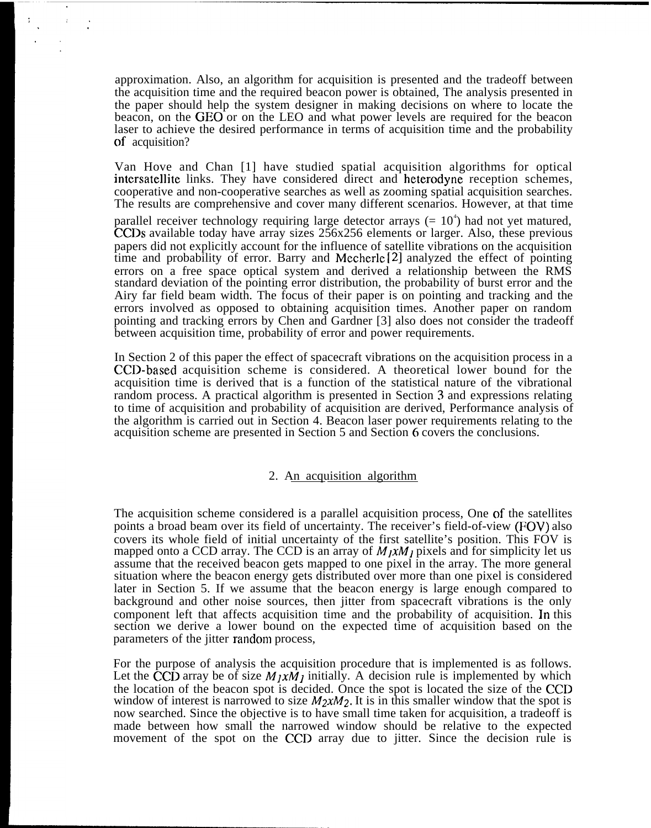approximation. Also, an algorithm for acquisition is presented and the tradeoff between the acquisition time and the required beacon power is obtained, The analysis presented in the paper should help the system designer in making decisions on where to locate the beacon, on the GEO or on the LEO and what power levels are required for the beacon laser to achieve the desired performance in terms of acquisition time and the probability of acquisition?

Van Hove and Chan [1] have studied spatial acquisition algorithms for optical intersatellite links. They have considered direct and heterodyne reception schemes, cooperative and non-cooperative searches as well as zooming spatial acquisition searches. The results are comprehensive and cover many different scenarios. However, at that time

parallel receiver technology requiring large detector arrays  $(= 10<sup>4</sup>)$  had not yet matured, CCDS available today have array sizes 256x256 elements or larger. Also, these previous papers did not explicitly account for the influence of satellite vibrations on the acquisition time and probability of error. Barry and Mecherle [2] analyzed the effect of pointing errors on a free space optical system and derived a relationship between the RMS standard deviation of the pointing error distribution, the probability of burst error and the Airy far field beam width. The focus of their paper is on pointing and tracking and the errors involved as opposed to obtaining acquisition times. Another paper on random pointing and tracking errors by Chen and Gardner [3] also does not consider the tradeoff between acquisition time, probability of error and power requirements.

In Section 2 of this paper the effect of spacecraft vibrations on the acquisition process in a CCD-based acquisition scheme is considered. A theoretical lower bound for the acquisition time is derived that is a function of the statistical nature of the vibrational random process. A practical algorithm is presented in Section 3 and expressions relating to time of acquisition and probability of acquisition are derived, Performance analysis of the algorithm is carried out in Section 4. Beacon laser power requirements relating to the acquisition scheme are presented in Section 5 and Section 6 covers the conclusions.

### 2. An acquisition algorithm

The acquisition scheme considered is a parallel acquisition process, One of the satellites points a broad beam over its field of uncertainty. The receiver's field-of-view (FOV) also covers its whole field of initial uncertainty of the first satellite's position. This FOV is mapped onto a CCD array. The CCD is an array of  $M_1xM_1$  pixels and for simplicity let us assume that the received beacon gets mapped to one pixel in the array. The more general situation where the beacon energy gets distributed over more than one pixel is considered later in Section 5. If we assume that the beacon energy is large enough compared to background and other noise sources, then jitter from spacecraft vibrations is the only component left that affects acquisition time and the probability of acquisition. In this section we derive a lower bound on the expected time of acquisition based on the parameters of the jitter random process,

For the purpose of analysis the acquisition procedure that is implemented is as follows. Let the CCD array be of size  $M_1xM_1$  initially. A decision rule is implemented by which the location of the beacon spot is decided. Once the spot is located the size of the CCD window of interest is narrowed to size  $M_2xM_2$ . It is in this smaller window that the spot is now searched. Since the objective is to have small time taken for acquisition, a tradeoff is made between how small the narrowed window should be relative to the expected movement of the spot on the CCD array due to jitter. Since the decision rule is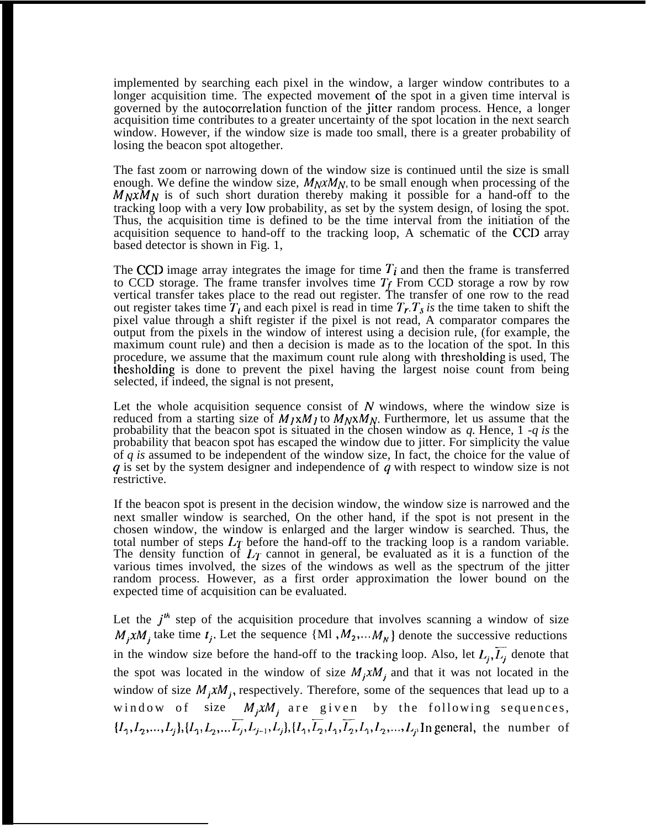implemented by searching each pixel in the window, a larger window contributes to a longer acquisition time. The expected movement of the spot in a given time interval is governed by the autocorrelation function of the jitter random process. Hence, a longer acquisition time contributes to a greater uncertainty of the spot location in the next search window. However, if the window size is made too small, there is a greater probability of losing the beacon spot altogether.

The fast zoom or narrowing down of the window size is continued until the size is small enough. We define the window size,  $M_N x M_N$ , to be small enough when processing of the  $M_NxM_N$  is of such short duration thereby making it possible for a hand-off to the tracking loop with a very low probability, as set by the system design, of losing the spot. Thus, the acquisition time is defined to be the time interval from the initiation of the acquisition sequence to hand-off to the tracking loop, A schematic of the CCD array based detector is shown in Fig. 1,

The CCD image array integrates the image for time *Ti* and then the frame is transferred to CCD storage. The frame transfer involves time  $T_f$  From CCD storage a row by row vertical transfer takes place to the read out register. The transfer of one row to the read out register takes time  $T<sub>t</sub>$  and each pixel is read in time  $T<sub>r</sub>$ .  $T<sub>s</sub>$  is the time taken to shift the pixel value through a shift register if the pixel is not read, A comparator compares the output from the pixels in the window of interest using a decision rule, (for example, the maximum count rule) and then a decision is made as to the location of the spot. In this procedure, we assume that the maximum count rule along with thresholding is used, The thesholding is done to prevent the pixel having the largest noise count from being selected, if indeed, the signal is not present,

Let the whole acquisition sequence consist of  $N$  windows, where the window size is reduced from a starting size of  $M_JxM_J$  to  $M_NxM_N$ . Furthermore, let us assume that the probability that the beacon spot is situated in the chosen window as *q.* Hence, 1 *-q is* the probability that beacon spot has escaped the window due to jitter. For simplicity the value of *q is* assumed to be independent of the window size, In fact, the choice for the value of  $q$  is set by the system designer and independence of  $q$  with respect to window size is not restrictive.

If the beacon spot is present in the decision window, the window size is narrowed and the next smaller window is searched, On the other hand, if the spot is not present in the chosen window, the window is enlarged and the larger window is searched. Thus, the total number of steps  $L_T$  before the hand-off to the tracking loop is a random variable. The density function of  $L_T$  cannot in general, be evaluated as it is a function of the various times involved, the sizes of the windows as well as the spectrum of the jitter random process. However, as a first order approximation the lower bound on the expected time of acquisition can be evaluated.

Let the  $j<sup>th</sup>$  step of the acquisition procedure that involves scanning a window of size  $M_i x M_j$  take time  $t_j$ . Let the sequence  $\{M_1, M_2, \ldots, M_N\}$  denote the successive reductions in the window size before the hand-off to the tracking loop. Also, let  $L_i, \overline{L_i}$  denote that the spot was located in the window of size  $M_j x M_j$  and that it was not located in the window of size  $M_j x M_j$ , respectively. Therefore, some of the sequences that lead up to a window of size  $M_j x M_j$  are given by the following sequences,  $\{l_1, l_2, ..., L_j\}, \{L_1, L_2, ..., L_j, L_{j-1}, L_j\}, \{L_1, L_2, L_1, L_2, L_1, L_2, ..., L_j\}$ In general, the number of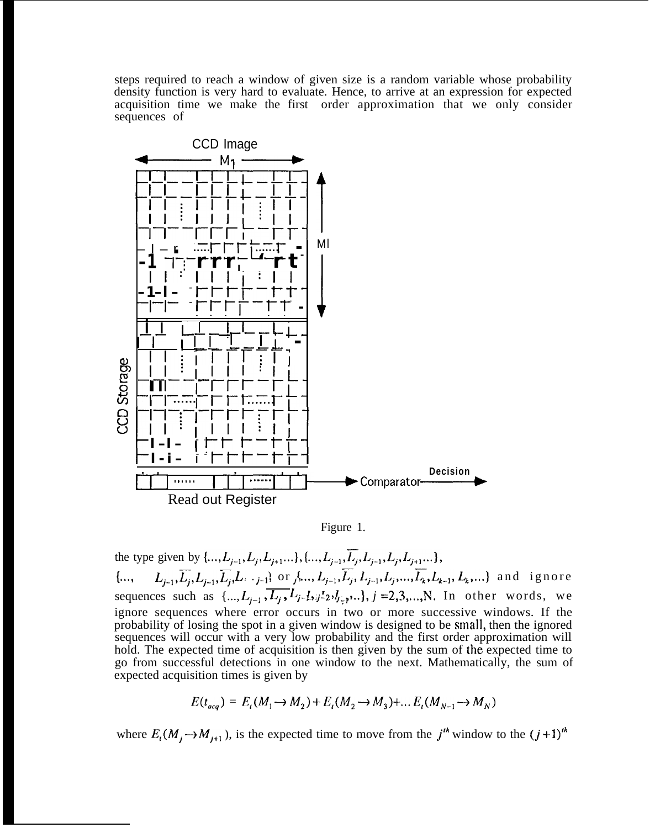steps required to reach a window of given size is a random variable whose probability density function is very hard to evaluate. Hence, to arrive at an expression for expected acquisition time we make the first order approximation that we only consider sequences of



Figure 1.

the type given by  $\{..., L_{j-1}, L_j, L_{j+1}...\}$ ,  $\{..., L_{j-1}, \overline{L_j}, L_{j-1}, L_j, L_{j+1}...\}$ ,  ${\ldots, L_{j-1}, \overline{L_j}, L_{j-1}, \overline{L_j}, L_{j-1}}$  or  $j, ..., L_{j-1}, \overline{L_j}, L_{j-1}, L_j, ..., \overline{L_k}, L_{k-1}, L_k, ...$ } and ignore sequences such as  $\{..., L_{j-1}, \overline{L_j}, L_{j-1}, L_{j-2}, L_{j-1}, ...\}$ ,  $j = 2, 3, ..., N$ . In other words, we ignore sequences where error occurs in two or more successive windows. If the probability of losing the spot in a given window is designed to be small, then the ignored sequences will occur with a very low probability and the first order approximation will hold. The expected time of acquisition is then given by the sum of the expected time to go from successful detections in one window to the next. Mathematically, the sum of expected acquisition times is given by

$$
E(t_{acq}) = E_t(M_1 \to M_2) + E_t(M_2 \to M_3) + ... E_t(M_{N-1} \to M_N)
$$

where  $E_i(M_j \to M_{j+1})$ , is the expected time to move from the  $j<sup>th</sup>$  window to the  $(j+1)<sup>th</sup>$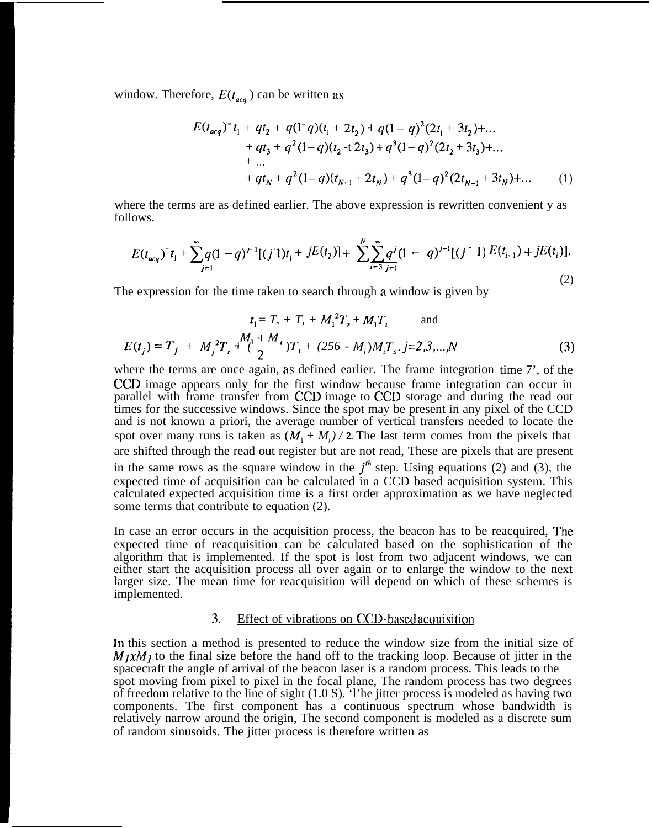window. Therefore,  $E(t_{acc})$  can be written as

$$
E(t_{acq})^{\dagger}t_{1} + qt_{2} + q(1-q)(t_{1} + 2t_{2}) + q(1-q)^{2}(2t_{1} + 3t_{2}) + ... + qt_{3} + q^{2}(1-q)(t_{2} + 2t_{3}) + q^{3}(1-q)^{2}(2t_{2} + 3t_{3}) + ... + ... + qt_{N} + q^{2}(1-q)(t_{N-1} + 2t_{N}) + q^{3}(1-q)^{2}(2t_{N-1} + 3t_{N}) + ... \qquad (1)
$$

where the terms are as defined earlier. The above expression is rewritten convenient y as follows.

$$
E(t_{acq})^{\dagger}t_{1} + \sum_{j=1}^{\infty}q(1-q)^{j-1}[(j\ 1)t_{1} + jE(t_{2})] + \sum_{i=3}^{N} \sum_{j=1}^{\infty}q^{j}(1-q)^{j-1}[(j\ 1)E(t_{i-1}) + jE(t_{i})].
$$
\n(2)

The expression for the time taken to search through a window is given by

$$
t_1 = T_r + T_r + M_1^2 T_r + M_1 T_t \quad \text{and}
$$
  

$$
E(t_j) = T_f + M_j^2 T_r + \frac{M_j + M_i}{2} T_t + (256 - M_i) M_i T_s. j = 2,3,...,N
$$
 (3)

where the terms are once again, as defined earlier. The frame integration time 7', of the CCD image appears only for the first window because frame integration can occur in parallel with frame transfer from CCD image to CCD storage and during the read out times for the successive windows. Since the spot may be present in any pixel of the CCD and is not known a priori, the average number of vertical transfers needed to locate the spot over many runs is taken as  $(M_1 + M_i)/2$ . The last term comes from the pixels that are shifted through the read out register but are not read, These are pixels that are present in the same rows as the square window in the  $j<sup>th</sup>$  step. Using equations (2) and (3), the expected time of acquisition can be calculated in a CCD based acquisition system. This calculated expected acquisition time is a first order approximation as we have neglected some terms that contribute to equation (2).

In case an error occurs in the acquisition process, the beacon has to be reacquired, The expected time of reacquisition can be calculated based on the sophistication of the algorithm that is implemented. If the spot is lost from two adjacent windows, we can either start the acquisition process all over again or to enlarge the window to the next larger size. The mean time for reacquisition will depend on which of these schemes is implemented.

#### 3. Effect of vibrations on CCD-based acquisition

In this section a method is presented to reduce the window size from the initial size of  $M_1xM_1$  to the final size before the hand off to the tracking loop. Because of jitter in the spacecraft the angle of arrival of the beacon laser is a random process. This leads to the spot moving from pixel to pixel in the focal plane, The random process has two degrees of freedom relative to the line of sight (1.0 S). 'l'he jitter process is modeled as having two components. The first component has a continuous spectrum whose bandwidth is relatively narrow around the origin, The second component is modeled as a discrete sum of random sinusoids. The jitter process is therefore written as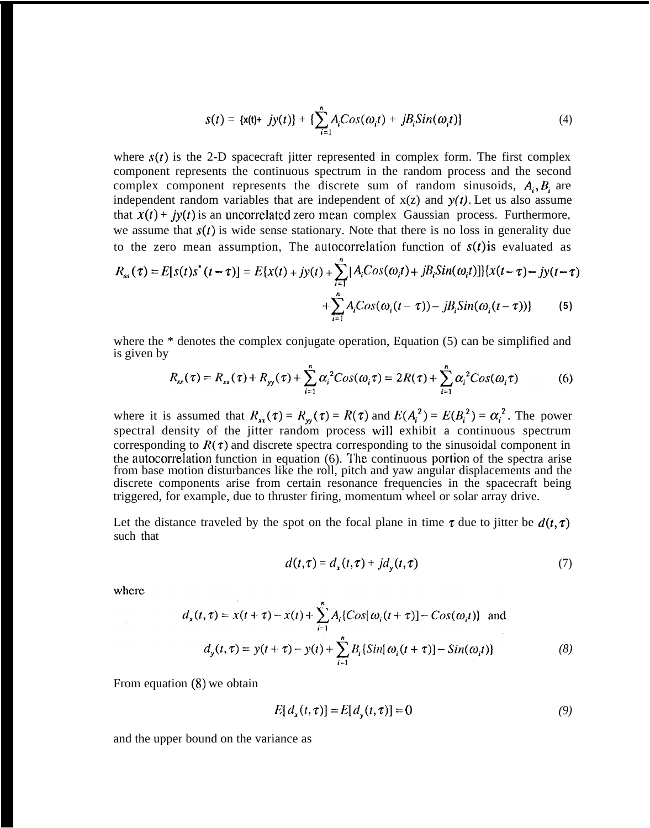$$
s(t) = \{x(t) + jy(t)\} + \{\sum_{i=1}^{n} A_i Cos(\omega_i t) + jB_i Sin(\omega_i t)\}\
$$
 (4)

where  $s(t)$  is the 2-D spacecraft jitter represented in complex form. The first complex component represents the continuous spectrum in the random process and the second complex component represents the discrete sum of random sinusoids,  $A_i, B_i$  are independent random variables that are independent of  $x(z)$  and  $y(t)$ . Let us also assume that  $x(t) + iy(t)$  is an uncorrelated zero mean complex Gaussian process. Furthermore, we assume that  $s(t)$  is wide sense stationary. Note that there is no loss in generality due to the zero mean assumption, The autocorrelation function of  $s(t)$  is evaluated as

$$
R_{ss}(\tau) = E[s(t)s^{+}(t-\tau)] = E\{x(t) + jy(t) + \sum_{i=1}^{n} [A_{i}Cos(\omega_{i}t) + jB_{i}Sin(\omega_{i}t)]\}\{x(t-\tau) - jy(t-\tau) + \sum_{i=1}^{n} A_{i}Cos(\omega_{i}(t-\tau)) - jB_{i}Sin(\omega_{i}(t-\tau))\}
$$
(5)

where the \* denotes the complex conjugate operation, Equation (5) can be simplified and is given by

$$
R_{ss}(\tau) = R_{xx}(\tau) + R_{yy}(\tau) + \sum_{i=1}^{n} \alpha_i^2 \cos(\omega_i \tau) = 2R(\tau) + \sum_{i=1}^{n} \alpha_i^2 \cos(\omega_i \tau)
$$
(6)

where it is assumed that  $R_{xx}(\tau) = R_{yy}(\tau) = R(\tau)$  and  $E(A_i^2) = E(B_i^2) = \alpha_i^2$ . The power spectral density of the jitter random process will exhibit a continuous spectrum corresponding to  $R(\tau)$  and discrete spectra corresponding to the sinusoidal component in the autocorrelation function in equation (6). The continuous portion of the spectra arise from base motion disturbances like the roll, pitch and yaw angular displacements and the discrete components arise from certain resonance frequencies in the spacecraft being triggered, for example, due to thruster firing, momentum wheel or solar array drive.

Let the distance traveled by the spot on the focal plane in time  $\tau$  due to jitter be  $d(t, \tau)$ such that

$$
d(t,\tau) = d_x(t,\tau) + j d_y(t,\tau) \tag{7}
$$

where

$$
d_x(t, \tau) = x(t + \tau) - x(t) + \sum_{i=1}^{n} A_i \{ Cos[\omega_i(t + \tau)] - Cos(\omega_i t) \} \text{ and}
$$
  

$$
d_y(t, \tau) = y(t + \tau) - y(t) + \sum_{i=1}^{n} B_i \{ Sin[\omega_i(t + \tau)] - Sin(\omega_i t) \}
$$
 (8)

From equation (8) we obtain

$$
E[d_{x}(t,\tau)]=E[d_{y}(t,\tau)]=0
$$
\n(9)

and the upper bound on the variance as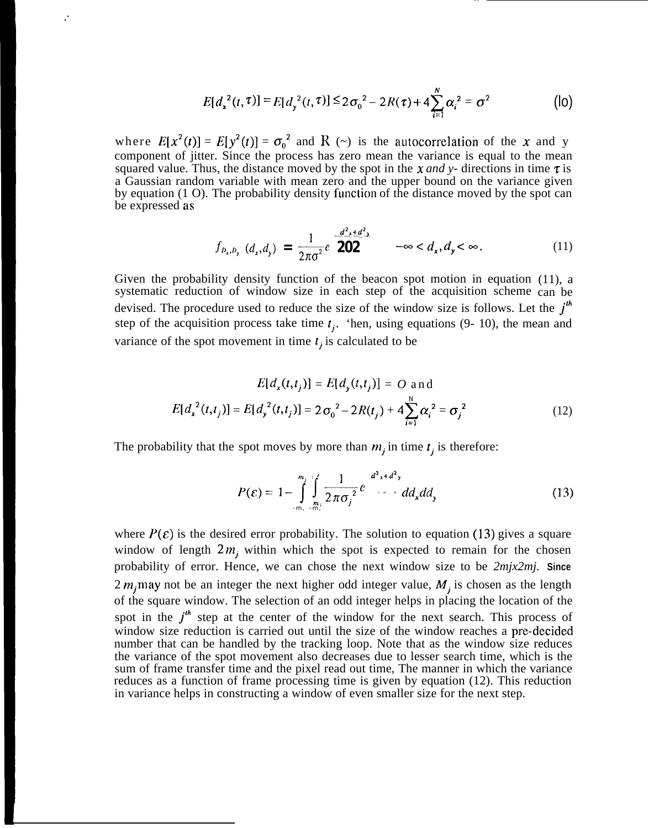$$
E[d_x^{2}(t,\tau)] = E[d_y^{2}(t,\tau)] \leq 2\sigma_0^{2} - 2R(\tau) + 4\sum_{i=1}^{N} \alpha_i^{2} = \sigma^2
$$
 (lo)

where  $E[x^2(t)] = E[y^2(t)] = \sigma_0^2$  and R (~) is the autocorrelation of the x and y component of jitter. Since the process has zero mean the variance is equal to the mean squared value. Thus, the distance moved by the spot in the  $x$  *and* y- directions in time  $\tau$  is a Gaussian random variable with mean zero and the upper bound on the variance given by equation (1 O). The probability density function of the distance moved by the spot can be expressed as

**."**

$$
f_{b_x, b_y} (d_x, d_y) = \frac{1}{2\pi\sigma^2} e^{-\frac{d^2 x + d^2 y}{202}} \qquad -\infty < d_x, d_y < \infty.
$$
 (11)

Given the probability density function of the beacon spot motion in equation (11), a systematic reduction of window size in each step of the acquisition scheme can be devised. The procedure used to reduce the size of the window size is follows. Let the  $j<sup>th</sup>$ step of the acquisition process take time  $t_j$ . 'hen, using equations (9- 10), the mean and variance of the spot movement in time  $t_j$  is calculated to be

$$
E[d_x(t,t_j)] = E[d_y(t,t_j)] = O \text{ and}
$$
  

$$
E[d_x^2(t,t_j)] = E[d_y^2(t,t_j)] = 2\sigma_0^2 - 2R(t_j) + 4\sum_{i=1}^{N} \alpha_i^2 = \sigma_j^2
$$
 (12)

The probability that the spot moves by more than  $m_i$ , in time  $t_i$ , is therefore:

$$
P(\varepsilon) = 1 - \int_{-m_i}^{m_j} \int_{\frac{m_i}{2\pi\sigma_j}}^{\infty} \frac{1}{2\pi\sigma_j^2} e^{-\frac{d^2x + d^2y}{2\sigma_j^2}} d\xi d\xi \tag{13}
$$

where  $P(\varepsilon)$  is the desired error probability. The solution to equation (13) gives a square window of length  $2m_i$ , within which the spot is expected to remain for the chosen probability of error. Hence, we can chose the next window size to be *2mjx2mj.* **Since** 2  $m_j$  may not be an integer the next higher odd integer value,  $M_j$  is chosen as the length of the square window. The selection of an odd integer helps in placing the location of the spot in the  $j<sup>th</sup>$  step at the center of the window for the next search. This process of window size reduction is carried out until the size of the window reaches a pre-decided number that can be handled by the tracking loop. Note that as the window size reduces the variance of the spot movement also decreases due to lesser search time, which is the sum of frame transfer time and the pixel read out time, The manner in which the variance reduces as a function of frame processing time is given by equation (12). This reduction in variance helps in constructing a window of even smaller size for the next step.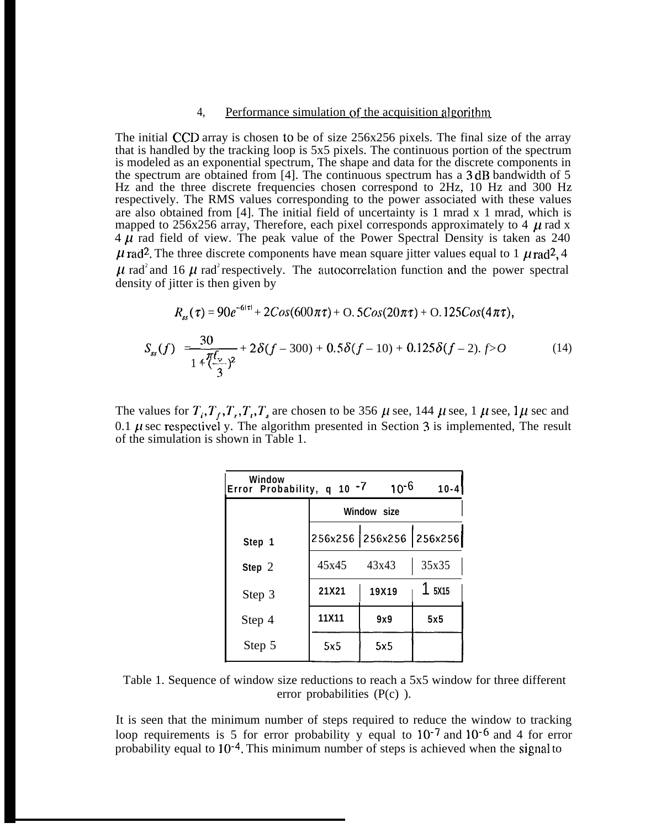## 4, Performance simulation of the acquisition algorithm

The initial CCD array is chosen to be of size 256x256 pixels. The final size of the array that is handled by the tracking loop is 5x5 pixels. The continuous portion of the spectrum is modeled as an exponential spectrum, The shape and data for the discrete components in the spectrum are obtained from [4]. The continuous spectrum has a 3 dB bandwidth of 5 Hz and the three discrete frequencies chosen correspond to 2Hz, 10 Hz and 300 Hz respectively. The RMS values corresponding to the power associated with these values are also obtained from [4]. The initial field of uncertainty is 1 mrad x 1 mrad, which is mapped to 256x256 array, Therefore, each pixel corresponds approximately to 4  $\mu$  rad x  $4 \mu$  rad field of view. The peak value of the Power Spectral Density is taken as 240  $\mu$  rad<sup>2</sup>. The three discrete components have mean square jitter values equal to 1  $\mu$  rad<sup>2</sup>, 4  $\mu$  rad<sup>2</sup> and 16  $\mu$  rad<sup>2</sup> respectively. The autocorrelation function and the power spectral density of jitter is then given by

$$
R_{ss}(\tau) = 90e^{-6|\tau|} + 2Cos(600\pi\tau) + O. 5Cos(20\pi\tau) + O. 125Cos(4\pi\tau),
$$
  

$$
S_{ss}(f) = \frac{30}{1 + \frac{\pi f_v}{(\frac{\pi}{3})^2}} + 2\delta(f - 300) + 0.5\delta(f - 10) + 0.125\delta(f - 2). f > 0
$$
 (14)

The values for  $T_i, T_f, T_r, T_i, T_s$  are chosen to be 356  $\mu$  see, 144  $\mu$  see, 1  $\mu$  see, 1  $\mu$  sec and 0.1  $\mu$  sec respectivel y. The algorithm presented in Section 3 is implemented, The result of the simulation is shown in Table 1.

| Window<br>10 <sup>-6</sup><br>Error Probability, q 10 -7<br>$10 - 4$ |             |                         |       |
|----------------------------------------------------------------------|-------------|-------------------------|-------|
|                                                                      | Window size |                         |       |
| Step 1                                                               |             | 256x256 256x256 256x256 |       |
| Step $2$                                                             | 45x45       | 43x43                   | 35x35 |
| Step 3                                                               | 21X21       | 19X19                   | 5X15  |
| Step 4                                                               | 11X11       | 9x9                     | 5x5   |
| Step 5                                                               | 5x5         | 5x5                     |       |

Table 1. Sequence of window size reductions to reach a 5x5 window for three different error probabilities (P(c) ).

It is seen that the minimum number of steps required to reduce the window to tracking loop requirements is 5 for error probability y equal to 10<sup>-7</sup> and 10<sup>-6</sup> and 4 for error probability equal to 10-4. This minimum number of steps is achieved when the signal to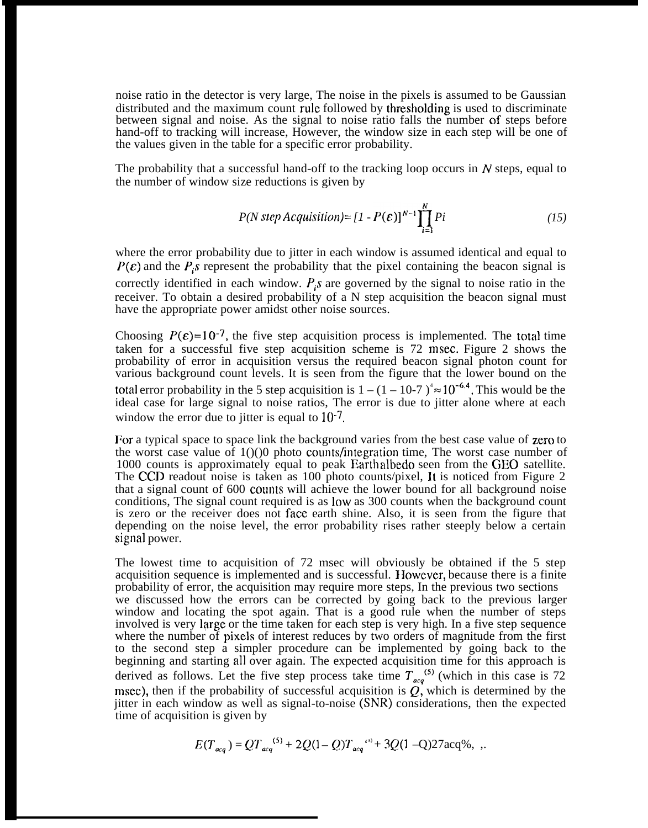noise ratio in the detector is very large, The noise in the pixels is assumed to be Gaussian distributed and the maximum count rule followed by thresholding is used to discriminate between signal and noise. As the signal to noise ratio falls the number of steps before hand-off to tracking will increase, However, the window size in each step will be one of the values given in the table for a specific error probability.

The probability that a successful hand-off to the tracking loop occurs in  $N$  steps, equal to the number of window size reductions is given by

$$
P(N \text{ step Acquisition}) = [1 - P(\varepsilon)]^{N-1} \prod_{i=1}^{N} Pi \qquad (15)
$$

where the error probability due to jitter in each window is assumed identical and equal to  $P(\varepsilon)$  and the  $P_i$ s represent the probability that the pixel containing the beacon signal is correctly identified in each window.  $P_i$ s are governed by the signal to noise ratio in the receiver. To obtain a desired probability of a N step acquisition the beacon signal must have the appropriate power amidst other noise sources.

Choosing  $P(\varepsilon)=10^{-7}$ , the five step acquisition process is implemented. The total time taken for a successful five step acquisition scheme is 72 msec. Figure 2 shows the probability of error in acquisition versus the required beacon signal photon count for various background count levels. It is seen from the figure that the lower bound on the total error probability in the 5 step acquisition is  $1 - (1 - 10-7)^4 \approx 10^{-6.4}$ . This would be the ideal case for large signal to noise ratios, The error is due to jitter alone where at each window the error due to jitter is equal to  $10^{-7}$ .

For a typical space to space link the background varies from the best case value of zero to the worst case value of  $1()()0$  photo counts/integration time, The worst case number of 1000 counts is approximately equal to peak Earth albedo seen from the GEO satellite. The CCD readout noise is taken as 100 photo counts/pixel, It is noticed from Figure 2 that a signal count of 600 counts will achieve the lower bound for all background noise conditions, The signal count required is as low as 300 counts when the background count is zero or the receiver does not face earth shine. Also, it is seen from the figure that depending on the noise level, the error probability rises rather steeply below a certain signal power.

The lowest time to acquisition of 72 msec will obviously be obtained if the 5 step acquisition sequence is implemented and is successful. 1 lowever, because there is a finite probability of error, the acquisition may require more steps, In the previous two sections we discussed how the errors can be corrected by going back to the previous larger window and locating the spot again. That is a good rule when the number of steps involved is very large or the time taken for each step is very high. In a five step sequence where the number of pixels of interest reduces by two orders of magnitude from the first to the second step a simpler procedure can be implemented by going back to the beginning and starting all over again. The expected acquisition time for this approach is derived as follows. Let the five step process take time  $T_{ac}^{(5)}$  (which in this case is 72 msec), then if the probability of successful acquisition is  $Q$ , which is determined by the jitter in each window as well as signal-to-noise (SNR) considerations, then the expected time of acquisition is given by

$$
E(T_{acq}) = QT_{acq}^{(5)} + 2Q(1-Q)T_{acq}^{(5)} + 3Q(1-Q)27acq\%,
$$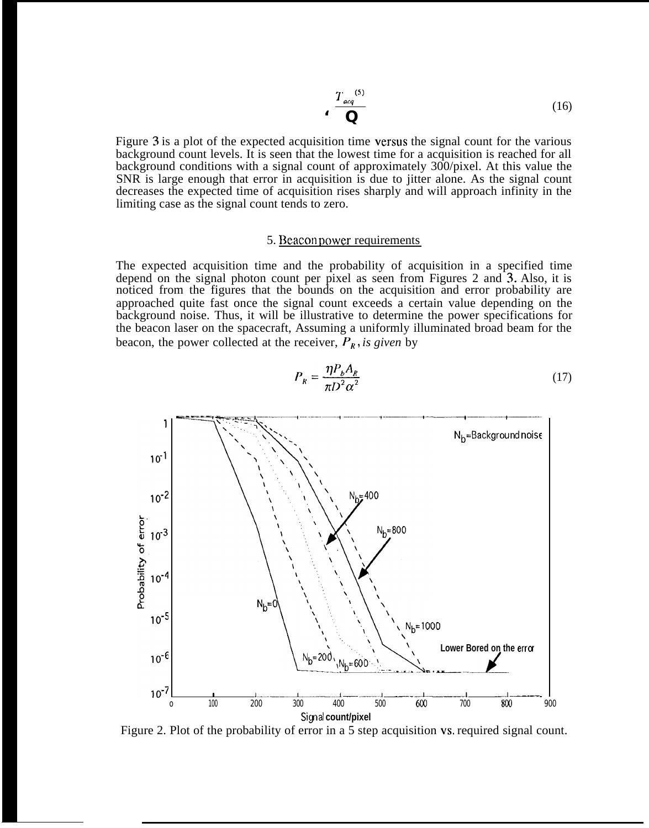$$
\frac{T_{acq}}{Q} \tag{16}
$$

Figure 3 is a plot of the expected acquisition time versus the signal count for the various background count levels. It is seen that the lowest time for a acquisition is reached for all background conditions with a signal count of approximately 300/pixel. At this value the SNR is large enough that error in acquisition is due to jitter alone. As the signal count decreases the expected time of acquisition rises sharply and will approach infinity in the limiting case as the signal count tends to zero.

#### 5. Beacon power requirements

The expected acquisition time and the probability of acquisition in a specified time depend on the signal photon count per pixel as seen from Figures 2 and 3. Also, it is noticed from the figures that the bounds on the acquisition and error probability are approached quite fast once the signal count exceeds a certain value depending on the background noise. Thus, it will be illustrative to determine the power specifications for the beacon laser on the spacecraft, Assuming a uniformly illuminated broad beam for the beacon, the power collected at the receiver,  $P_R$ , is given by



$$
P_R = \frac{\eta P_b A_R}{\pi D^2 \alpha^2} \tag{17}
$$

Figure 2. Plot of the probability of error in a 5 step acquisition vs. required signal count.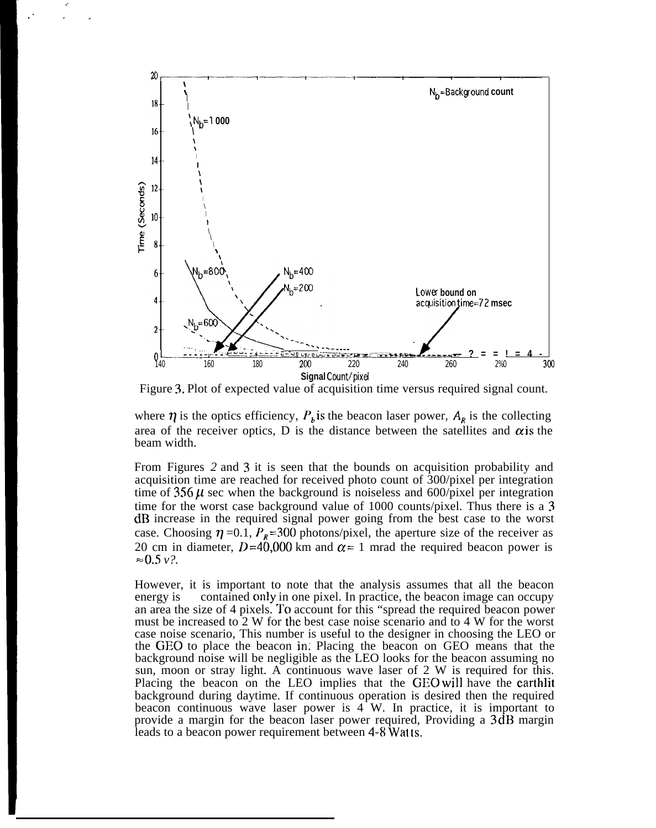

,  $\mathcal{S}=\frac{\mathcal{S}}{\mathcal{S}}$ 

Figure 3. Plot of expected value of acquisition time versus required signal count.

where  $\eta$  is the optics efficiency,  $P_b$  is the beacon laser power,  $A_R$  is the collecting area of the receiver optics, D is the distance between the satellites and  $\alpha$  is the beam width.

From Figures *2* and 3 it is seen that the bounds on acquisition probability and acquisition time are reached for received photo count of 300/pixel per integration time of  $356 \mu$  sec when the background is noiseless and  $600/pixel$  per integration time for the worst case background value of 1000 counts/pixel. Thus there is a 3 dB increase in the required signal power going from the best case to the worst case. Choosing  $\eta = 0.1$ ,  $P_R = 300$  photons/pixel, the aperture size of the receiver as 20 cm in diameter,  $D=40,000$  km and  $\alpha=1$  mrad the required beacon power is  $\approx 0.5 \nu$ ?.

However, it is important to note that the analysis assumes that all the beacon energy is contained only in one pixel. In practice, the beacon image can occupy an area the size of 4 pixels. To account for this "spread the required beacon power must be increased to 2 W for the best case noise scenario and to 4 W for the worst case noise scenario, This number is useful to the designer in choosing the LEO or the GEO to place the beacon in. Placing the beacon on GEO means that the background noise will be negligible as the LEO looks for the beacon assuming no sun, moon or stray light. A continuous wave laser of 2 W is required for this. Placing the beacon on the LEO implies that the GEO will have the earthlit background during daytime. If continuous operation is desired then the required beacon continuous wave laser power is 4 W. In practice, it is important to provide a margin for the beacon laser power required, Providing a  $3 dB$  margin leads to a beacon power requirement between 4-8 Watts.